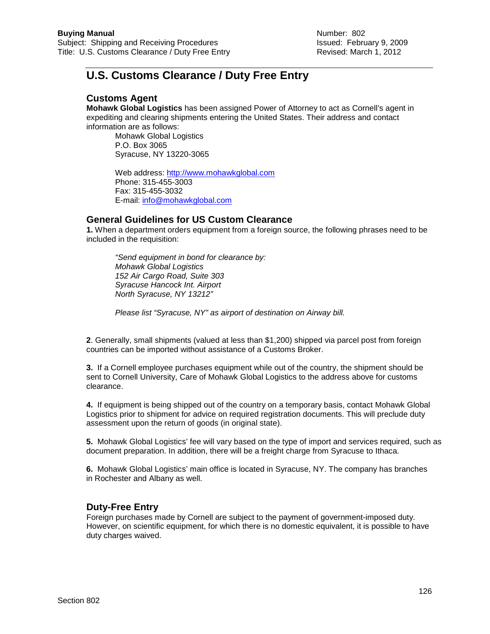## **U.S. Customs Clearance / Duty Free Entry**

## **Customs Agent**

**Mohawk Global Logistics** has been assigned Power of Attorney to act as Cornell's agent in expediting and clearing shipments entering the United States. Their address and contact information are as follows:

Mohawk Global Logistics P.O. Box 3065 Syracuse, NY 13220-3065

Web address: [http://www.mohawkglobal.com](http://www.mohawkglobal.com/) Phone: 315-455-3003 Fax: 315-455-3032 E-mail: [info@mohawkglobal.com](mailto:info@mohawkglobal.com)

## **General Guidelines for US Custom Clearance**

**1.** When a department orders equipment from a foreign source, the following phrases need to be included in the requisition:

*"Send equipment in bond for clearance by: Mohawk Global Logistics 152 Air Cargo Road, Suite 303 Syracuse Hancock Int. Airport North Syracuse, NY 13212"*

*Please list "Syracuse, NY" as airport of destination on Airway bill.*

**2**. Generally, small shipments (valued at less than \$1,200) shipped via parcel post from foreign countries can be imported without assistance of a Customs Broker.

**3.** If a Cornell employee purchases equipment while out of the country, the shipment should be sent to Cornell University, Care of Mohawk Global Logistics to the address above for customs clearance.

**4.** If equipment is being shipped out of the country on a temporary basis, contact Mohawk Global Logistics prior to shipment for advice on required registration documents. This will preclude duty assessment upon the return of goods (in original state).

**5.** Mohawk Global Logistics' fee will vary based on the type of import and services required, such as document preparation. In addition, there will be a freight charge from Syracuse to Ithaca.

**6.** Mohawk Global Logistics' main office is located in Syracuse, NY. The company has branches in Rochester and Albany as well.

## **Duty-Free Entry**

Foreign purchases made by Cornell are subject to the payment of government-imposed duty. However, on scientific equipment, for which there is no domestic equivalent, it is possible to have duty charges waived.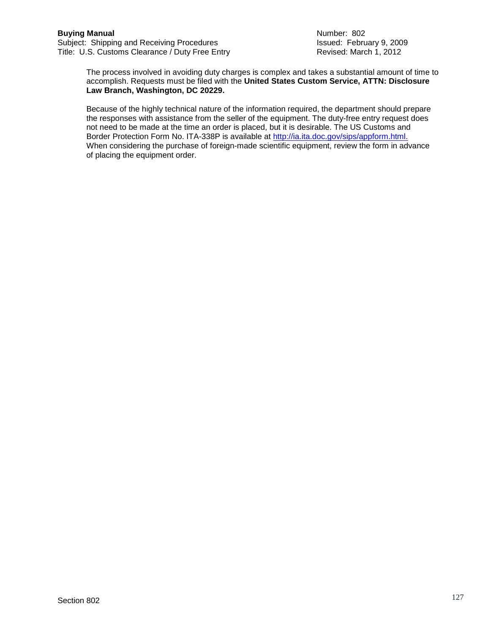Subject: Shipping and Receiving Procedures<br>
Title: U.S. Customs Clearance / Duty Free Entry **Interpretent Procedure 19, 2012** Title: U.S. Customs Clearance / Duty Free Entry

The process involved in avoiding duty charges is complex and takes a substantial amount of time to accomplish. Requests must be filed with the **United States Custom Service, ATTN: Disclosure Law Branch, Washington, DC 20229.**

Because of the highly technical nature of the information required, the department should prepare the responses with assistance from the seller of the equipment. The duty-free entry request does not need to be made at the time an order is placed, but it is desirable. The US Customs and Border Protection Form No. ITA-338P is available at [http://ia.ita.doc.gov/sips/appform.html.](http://ia.ita.doc.gov/sips/appform.html) When considering the purchase of foreign-made scientific equipment, review the form in advance of placing the equipment order.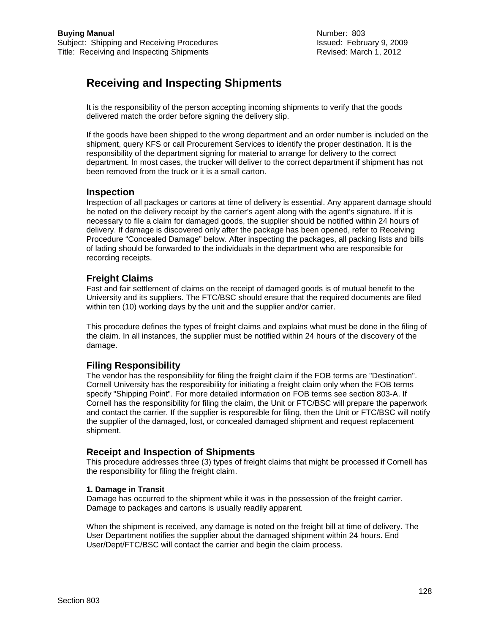## **Receiving and Inspecting Shipments**

It is the responsibility of the person accepting incoming shipments to verify that the goods delivered match the order before signing the delivery slip.

If the goods have been shipped to the wrong department and an order number is included on the shipment, query KFS or call Procurement Services to identify the proper destination. It is the responsibility of the department signing for material to arrange for delivery to the correct department. In most cases, the trucker will deliver to the correct department if shipment has not been removed from the truck or it is a small carton.

#### **Inspection**

Inspection of all packages or cartons at time of delivery is essential. Any apparent damage should be noted on the delivery receipt by the carrier's agent along with the agent's signature. If it is necessary to file a claim for damaged goods, the supplier should be notified within 24 hours of delivery. If damage is discovered only after the package has been opened, refer to Receiving Procedure "Concealed Damage" below. After inspecting the packages, all packing lists and bills of lading should be forwarded to the individuals in the department who are responsible for recording receipts.

#### **Freight Claims**

Fast and fair settlement of claims on the receipt of damaged goods is of mutual benefit to the University and its suppliers. The FTC/BSC should ensure that the required documents are filed within ten (10) working days by the unit and the supplier and/or carrier.

This procedure defines the types of freight claims and explains what must be done in the filing of the claim. In all instances, the supplier must be notified within 24 hours of the discovery of the damage.

## **Filing Responsibility**

The vendor has the responsibility for filing the freight claim if the FOB terms are "Destination". Cornell University has the responsibility for initiating a freight claim only when the FOB terms specify "Shipping Point". For more detailed information on FOB terms see section 803-A. If Cornell has the responsibility for filing the claim, the Unit or FTC/BSC will prepare the paperwork and contact the carrier. If the supplier is responsible for filing, then the Unit or FTC/BSC will notify the supplier of the damaged, lost, or concealed damaged shipment and request replacement shipment.

#### **Receipt and Inspection of Shipments**

This procedure addresses three (3) types of freight claims that might be processed if Cornell has the responsibility for filing the freight claim.

#### **1. Damage in Transit**

Damage has occurred to the shipment while it was in the possession of the freight carrier. Damage to packages and cartons is usually readily apparent.

When the shipment is received, any damage is noted on the freight bill at time of delivery. The User Department notifies the supplier about the damaged shipment within 24 hours. End User/Dept/FTC/BSC will contact the carrier and begin the claim process.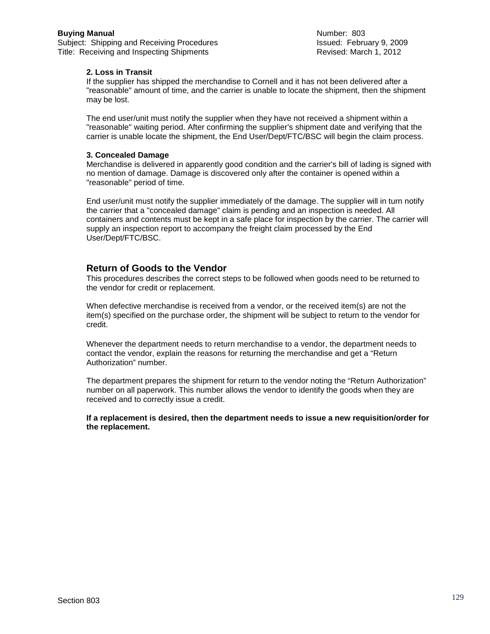Subject: Shipping and Receiving Procedures<br>
Title: Receiving and Inspecting Shipments<br>
Title: Receiving and Inspecting Shipments<br>
Title: Receiving and Inspecting Shipments Title: Receiving and Inspecting Shipments

#### **2. Loss in Transit**

If the supplier has shipped the merchandise to Cornell and it has not been delivered after a "reasonable" amount of time, and the carrier is unable to locate the shipment, then the shipment may be lost.

The end user/unit must notify the supplier when they have not received a shipment within a "reasonable" waiting period. After confirming the supplier's shipment date and verifying that the carrier is unable locate the shipment, the End User/Dept/FTC/BSC will begin the claim process.

#### **3. Concealed Damage**

Merchandise is delivered in apparently good condition and the carrier's bill of lading is signed with no mention of damage. Damage is discovered only after the container is opened within a "reasonable" period of time.

End user/unit must notify the supplier immediately of the damage. The supplier will in turn notify the carrier that a "concealed damage" claim is pending and an inspection is needed. All containers and contents must be kept in a safe place for inspection by the carrier. The carrier will supply an inspection report to accompany the freight claim processed by the End User/Dept/FTC/BSC.

## **Return of Goods to the Vendor**

This procedures describes the correct steps to be followed when goods need to be returned to the vendor for credit or replacement.

When defective merchandise is received from a vendor, or the received item(s) are not the item(s) specified on the purchase order, the shipment will be subject to return to the vendor for credit.

Whenever the department needs to return merchandise to a vendor, the department needs to contact the vendor, explain the reasons for returning the merchandise and get a "Return Authorization" number.

The department prepares the shipment for return to the vendor noting the "Return Authorization" number on all paperwork. This number allows the vendor to identify the goods when they are received and to correctly issue a credit.

**If a replacement is desired, then the department needs to issue a new requisition/order for the replacement.**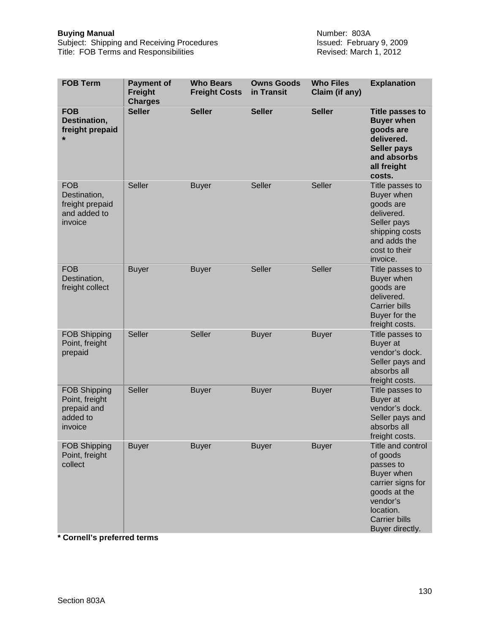Subject: Shipping and Receiving Procedures Issued: February 9, 2009 Title: FOB Terms and Responsibilities **Revised: March 1, 2012** Revised: March 1, 2012

| <b>FOB Term</b>                                                             | <b>Payment of</b><br><b>Freight</b><br><b>Charges</b> | <b>Who Bears</b><br><b>Freight Costs</b> | <b>Owns Goods</b><br>in Transit | <b>Who Files</b><br>Claim (if any) | <b>Explanation</b>                                                                                                                                                |
|-----------------------------------------------------------------------------|-------------------------------------------------------|------------------------------------------|---------------------------------|------------------------------------|-------------------------------------------------------------------------------------------------------------------------------------------------------------------|
| <b>FOB</b><br>Destination,<br>freight prepaid<br>$\star$                    | <b>Seller</b>                                         | <b>Seller</b>                            | <b>Seller</b>                   | <b>Seller</b>                      | <b>Title passes to</b><br><b>Buyer when</b><br>goods are<br>delivered.<br><b>Seller pays</b><br>and absorbs<br>all freight<br>costs.                              |
| <b>FOB</b><br>Destination,<br>freight prepaid<br>and added to<br>invoice    | Seller                                                | <b>Buyer</b>                             | <b>Seller</b>                   | Seller                             | Title passes to<br>Buyer when<br>goods are<br>delivered.<br>Seller pays<br>shipping costs<br>and adds the<br>cost to their<br>invoice.                            |
| <b>FOB</b><br>Destination,<br>freight collect                               | <b>Buyer</b>                                          | <b>Buyer</b>                             | Seller                          | <b>Seller</b>                      | Title passes to<br>Buyer when<br>goods are<br>delivered.<br><b>Carrier bills</b><br>Buyer for the<br>freight costs.                                               |
| <b>FOB Shipping</b><br>Point, freight<br>prepaid                            | <b>Seller</b>                                         | Seller                                   | <b>Buyer</b>                    | <b>Buyer</b>                       | Title passes to<br>Buyer at<br>vendor's dock.<br>Seller pays and<br>absorbs all<br>freight costs.                                                                 |
| <b>FOB Shipping</b><br>Point, freight<br>prepaid and<br>added to<br>invoice | Seller                                                | <b>Buyer</b>                             | <b>Buyer</b>                    | <b>Buyer</b>                       | Title passes to<br>Buyer at<br>vendor's dock.<br>Seller pays and<br>absorbs all<br>freight costs.                                                                 |
| <b>FOB Shipping</b><br>Point, freight<br>collect                            | <b>Buyer</b>                                          | <b>Buyer</b>                             | <b>Buyer</b>                    | <b>Buyer</b>                       | Title and control<br>of goods<br>passes to<br>Buyer when<br>carrier signs for<br>goods at the<br>vendor's<br>location.<br><b>Carrier bills</b><br>Buyer directly. |

**\* Cornell's preferred terms**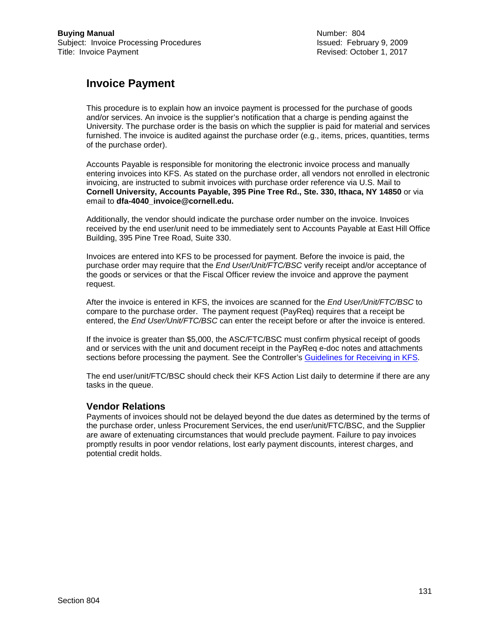Revised: October 1, 2017

## **Invoice Payment**

This procedure is to explain how an invoice payment is processed for the purchase of goods and/or services. An invoice is the supplier's notification that a charge is pending against the University. The purchase order is the basis on which the supplier is paid for material and services furnished. The invoice is audited against the purchase order (e.g., items, prices, quantities, terms of the purchase order).

Accounts Payable is responsible for monitoring the electronic invoice process and manually entering invoices into KFS. As stated on the purchase order, all vendors not enrolled in electronic invoicing, are instructed to submit invoices with purchase order reference via U.S. Mail to **Cornell University, Accounts Payable, 395 Pine Tree Rd., Ste. 330, Ithaca, NY 14850** or via email to **dfa-4040\_invoice@cornell.edu.**

Additionally, the vendor should indicate the purchase order number on the invoice. Invoices received by the end user/unit need to be immediately sent to Accounts Payable at East Hill Office Building, 395 Pine Tree Road, Suite 330.

Invoices are entered into KFS to be processed for payment. Before the invoice is paid, the purchase order may require that the *End User/Unit/FTC/BSC* verify receipt and/or acceptance of the goods or services or that the Fiscal Officer review the invoice and approve the payment request.

After the invoice is entered in KFS, the invoices are scanned for the *End User/Unit/FTC/BSC* to compare to the purchase order. The payment request (PayReq) requires that a receipt be entered, the *End User/Unit/FTC/BSC* can enter the receipt before or after the invoice is entered.

If the invoice is greater than \$5,000, the ASC/FTC/BSC must confirm physical receipt of goods and or services with the unit and document receipt in the PayReq e-doc notes and attachments sections before processing the payment. See the Controller's [Guidelines for Receiving in KFS.](https://www.dfa.cornell.edu/sites/default/files/kfs-receiving-procedure.pdf)

The end user/unit/FTC/BSC should check their KFS Action List daily to determine if there are any tasks in the queue.

## **Vendor Relations**

Payments of invoices should not be delayed beyond the due dates as determined by the terms of the purchase order, unless Procurement Services, the end user/unit/FTC/BSC, and the Supplier are aware of extenuating circumstances that would preclude payment. Failure to pay invoices promptly results in poor vendor relations, lost early payment discounts, interest charges, and potential credit holds.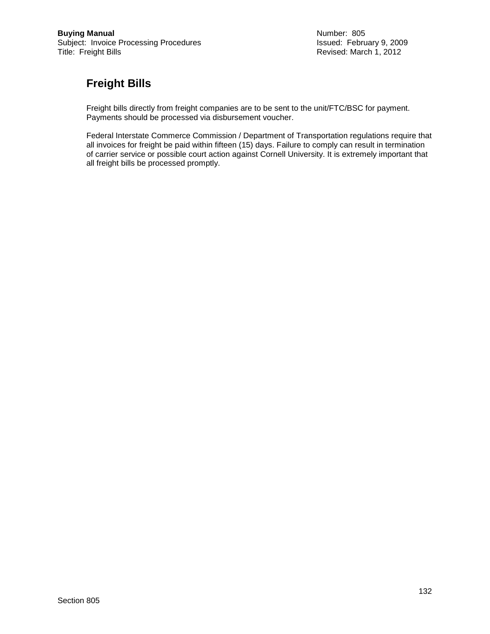Revised: March 1, 2012

# **Freight Bills**

Freight bills directly from freight companies are to be sent to the unit/FTC/BSC for payment. Payments should be processed via disbursement voucher.

Federal Interstate Commerce Commission / Department of Transportation regulations require that all invoices for freight be paid within fifteen (15) days. Failure to comply can result in termination of carrier service or possible court action against Cornell University. It is extremely important that all freight bills be processed promptly.